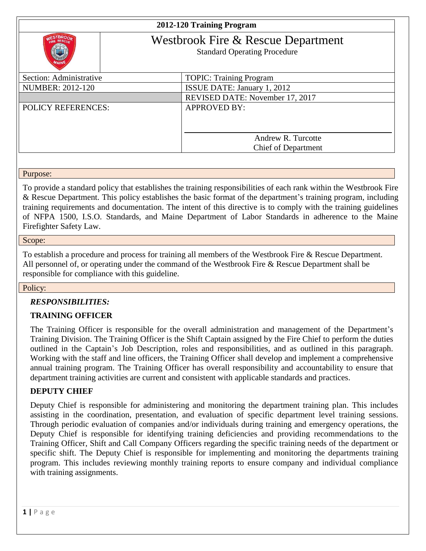# **2012-120 Training Program**



# Westbrook Fire & Rescue Department

Standard Operating Procedure

| Section: Administrative   | <b>TOPIC: Training Program</b>  |
|---------------------------|---------------------------------|
| <b>NUMBER: 2012-120</b>   | ISSUE DATE: January 1, 2012     |
|                           | REVISED DATE: November 17, 2017 |
| <b>POLICY REFERENCES:</b> | <b>APPROVED BY:</b>             |
|                           |                                 |
|                           |                                 |
|                           | Andrew R. Turcotte              |
|                           | <b>Chief of Department</b>      |
|                           |                                 |

Purpose:

To provide a standard policy that establishes the training responsibilities of each rank within the Westbrook Fire & Rescue Department. This policy establishes the basic format of the department's training program, including training requirements and documentation. The intent of this directive is to comply with the training guidelines of NFPA 1500, I.S.O. Standards, and Maine Department of Labor Standards in adherence to the Maine Firefighter Safety Law.

#### Scope:

To establish a procedure and process for training all members of the Westbrook Fire & Rescue Department. All personnel of, or operating under the command of the Westbrook Fire & Rescue Department shall be responsible for compliance with this guideline.

#### Policy:

#### *RESPONSIBILITIES:*

#### **TRAINING OFFICER**

The Training Officer is responsible for the overall administration and management of the Department's Training Division. The Training Officer is the Shift Captain assigned by the Fire Chief to perform the duties outlined in the Captain's Job Description, roles and responsibilities, and as outlined in this paragraph. Working with the staff and line officers, the Training Officer shall develop and implement a comprehensive annual training program. The Training Officer has overall responsibility and accountability to ensure that department training activities are current and consistent with applicable standards and practices.

#### **DEPUTY CHIEF**

Deputy Chief is responsible for administering and monitoring the department training plan. This includes assisting in the coordination, presentation, and evaluation of specific department level training sessions. Through periodic evaluation of companies and/or individuals during training and emergency operations, the Deputy Chief is responsible for identifying training deficiencies and providing recommendations to the Training Officer, Shift and Call Company Officers regarding the specific training needs of the department or specific shift. The Deputy Chief is responsible for implementing and monitoring the departments training program. This includes reviewing monthly training reports to ensure company and individual compliance with training assignments.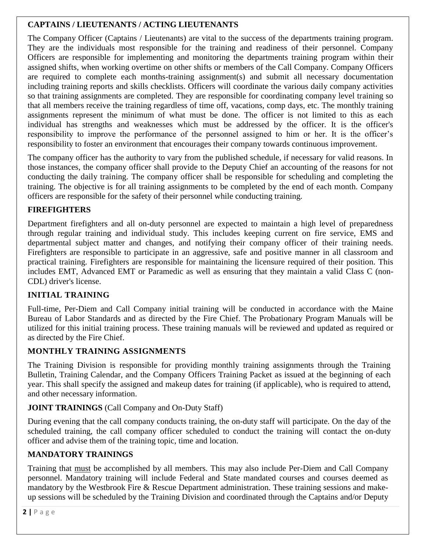# **CAPTAINS / LIEUTENANTS / ACTING LIEUTENANTS**

The Company Officer (Captains / Lieutenants) are vital to the success of the departments training program. They are the individuals most responsible for the training and readiness of their personnel. Company Officers are responsible for implementing and monitoring the departments training program within their assigned shifts, when working overtime on other shifts or members of the Call Company. Company Officers are required to complete each months-training assignment(s) and submit all necessary documentation including training reports and skills checklists. Officers will coordinate the various daily company activities so that training assignments are completed. They are responsible for coordinating company level training so that all members receive the training regardless of time off, vacations, comp days, etc. The monthly training assignments represent the minimum of what must be done. The officer is not limited to this as each individual has strengths and weaknesses which must be addressed by the officer. It is the officer's responsibility to improve the performance of the personnel assigned to him or her. It is the officer's responsibility to foster an environment that encourages their company towards continuous improvement.

The company officer has the authority to vary from the published schedule, if necessary for valid reasons. In those instances, the company officer shall provide to the Deputy Chief an accounting of the reasons for not conducting the daily training. The company officer shall be responsible for scheduling and completing the training. The objective is for all training assignments to be completed by the end of each month. Company officers are responsible for the safety of their personnel while conducting training.

# **FIREFIGHTERS**

Department firefighters and all on-duty personnel are expected to maintain a high level of preparedness through regular training and individual study. This includes keeping current on fire service, EMS and departmental subject matter and changes, and notifying their company officer of their training needs. Firefighters are responsible to participate in an aggressive, safe and positive manner in all classroom and practical training. Firefighters are responsible for maintaining the licensure required of their position. This includes EMT, Advanced EMT or Paramedic as well as ensuring that they maintain a valid Class C (non-CDL) driver's license.

# **INITIAL TRAINING**

Full-time, Per-Diem and Call Company initial training will be conducted in accordance with the Maine Bureau of Labor Standards and as directed by the Fire Chief. The Probationary Program Manuals will be utilized for this initial training process. These training manuals will be reviewed and updated as required or as directed by the Fire Chief.

# **MONTHLY TRAINING ASSIGNMENTS**

The Training Division is responsible for providing monthly training assignments through the Training Bulletin, Training Calendar, and the Company Officers Training Packet as issued at the beginning of each year. This shall specify the assigned and makeup dates for training (if applicable), who is required to attend, and other necessary information.

# **JOINT TRAININGS** (Call Company and On-Duty Staff)

During evening that the call company conducts training, the on-duty staff will participate. On the day of the scheduled training, the call company officer scheduled to conduct the training will contact the on-duty officer and advise them of the training topic, time and location.

# **MANDATORY TRAININGS**

Training that must be accomplished by all members. This may also include Per-Diem and Call Company personnel. Mandatory training will include Federal and State mandated courses and courses deemed as mandatory by the Westbrook Fire & Rescue Department administration. These training sessions and makeup sessions will be scheduled by the Training Division and coordinated through the Captains and/or Deputy